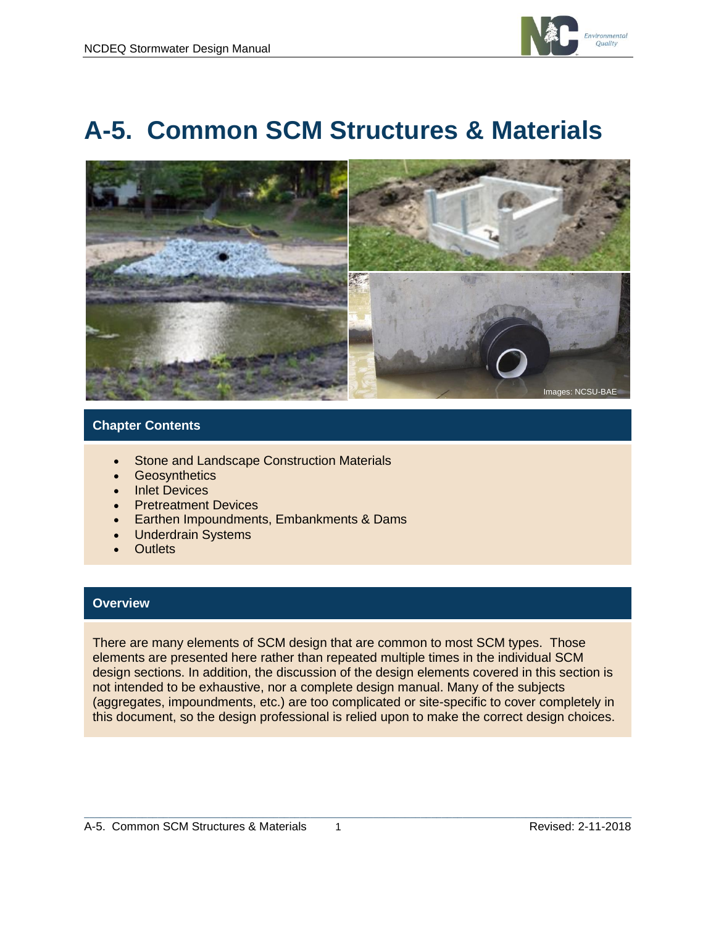

# **A-5. Common SCM Structures & Materials**



#### **Chapter Contents**

- Stone and Landscape Construction Materials
- **Geosynthetics**
- **Inlet Devices**
- Pretreatment Devices
- Earthen Impoundments, Embankments & Dams
- Underdrain Systems
- **Outlets**

#### **Overview**

There are many elements of SCM design that are common to most SCM types. Those elements are presented here rather than repeated multiple times in the individual SCM design sections. In addition, the discussion of the design elements covered in this section is not intended to be exhaustive, nor a complete design manual. Many of the subjects (aggregates, impoundments, etc.) are too complicated or site-specific to cover completely in this document, so the design professional is relied upon to make the correct design choices.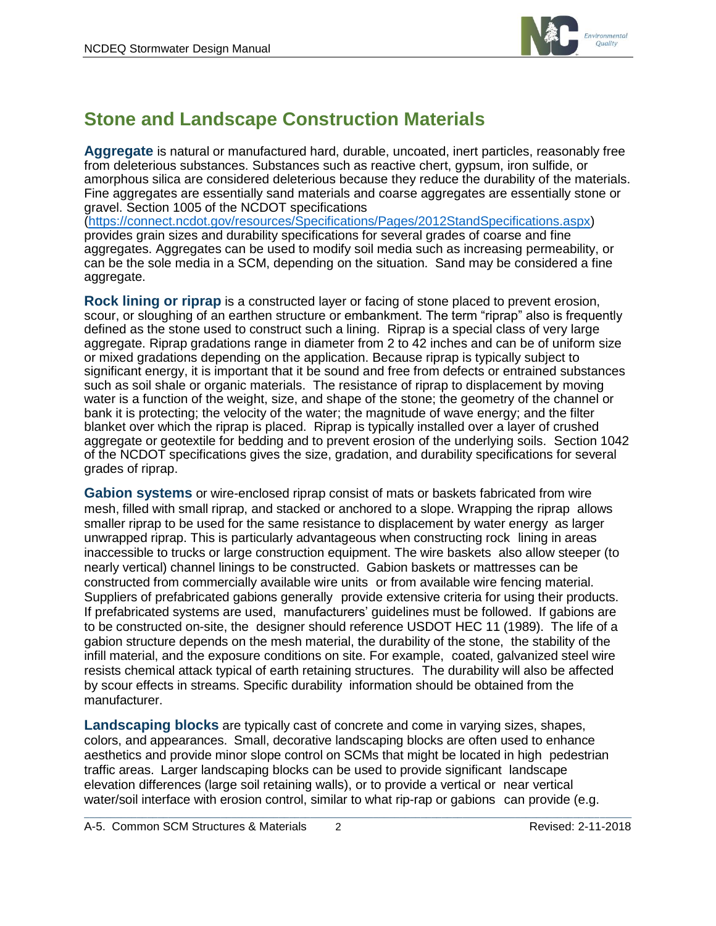

# **Stone and Landscape Construction Materials**

**Aggregate** is natural or manufactured hard, durable, uncoated, inert particles, reasonably free from deleterious substances. Substances such as reactive chert, gypsum, iron sulfide, or amorphous silica are considered deleterious because they reduce the durability of the materials. Fine aggregates are essentially sand materials and coarse aggregates are essentially stone or gravel. Section 1005 of the NCDOT specifications

[\(https://connect.ncdot.gov/resources/Specifications/Pages/2012StandSpecifications.aspx\)](https://connect.ncdot.gov/resources/Specifications/Pages/2012StandSpecifications.aspx) provides grain sizes and durability specifications for several grades of coarse and fine aggregates. Aggregates can be used to modify soil media such as increasing permeability, or can be the sole media in a SCM, depending on the situation. Sand may be considered a fine aggregate.

**Rock lining or riprap** is a constructed layer or facing of stone placed to prevent erosion, scour, or sloughing of an earthen structure or embankment. The term "riprap" also is frequently defined as the stone used to construct such a lining. Riprap is a special class of very large aggregate. Riprap gradations range in diameter from 2 to 42 inches and can be of uniform size or mixed gradations depending on the application. Because riprap is typically subject to significant energy, it is important that it be sound and free from defects or entrained substances such as soil shale or organic materials. The resistance of riprap to displacement by moving water is a function of the weight, size, and shape of the stone; the geometry of the channel or bank it is protecting; the velocity of the water; the magnitude of wave energy; and the filter blanket over which the riprap is placed. Riprap is typically installed over a layer of crushed aggregate or geotextile for bedding and to prevent erosion of the underlying soils. Section 1042 of the NCDOT specifications gives the size, gradation, and durability specifications for several grades of riprap.

**Gabion systems** or wire-enclosed riprap consist of mats or baskets fabricated from wire mesh, filled with small riprap, and stacked or anchored to a slope. Wrapping the riprap allows smaller riprap to be used for the same resistance to displacement by water energy as larger unwrapped riprap. This is particularly advantageous when constructing rock lining in areas inaccessible to trucks or large construction equipment. The wire baskets also allow steeper (to nearly vertical) channel linings to be constructed. Gabion baskets or mattresses can be constructed from commercially available wire units or from available wire fencing material. Suppliers of prefabricated gabions generally provide extensive criteria for using their products. If prefabricated systems are used, manufacturers' guidelines must be followed. If gabions are to be constructed on-site, the designer should reference USDOT HEC 11 (1989). The life of a gabion structure depends on the mesh material, the durability of the stone, the stability of the infill material, and the exposure conditions on site. For example, coated, galvanized steel wire resists chemical attack typical of earth retaining structures. The durability will also be affected by scour effects in streams. Specific durability information should be obtained from the manufacturer.

**Landscaping blocks** are typically cast of concrete and come in varying sizes, shapes, colors, and appearances. Small, decorative landscaping blocks are often used to enhance aesthetics and provide minor slope control on SCMs that might be located in high pedestrian traffic areas. Larger landscaping blocks can be used to provide significant landscape elevation differences (large soil retaining walls), or to provide a vertical or near vertical water/soil interface with erosion control, similar to what rip-rap or gabions can provide (e.g.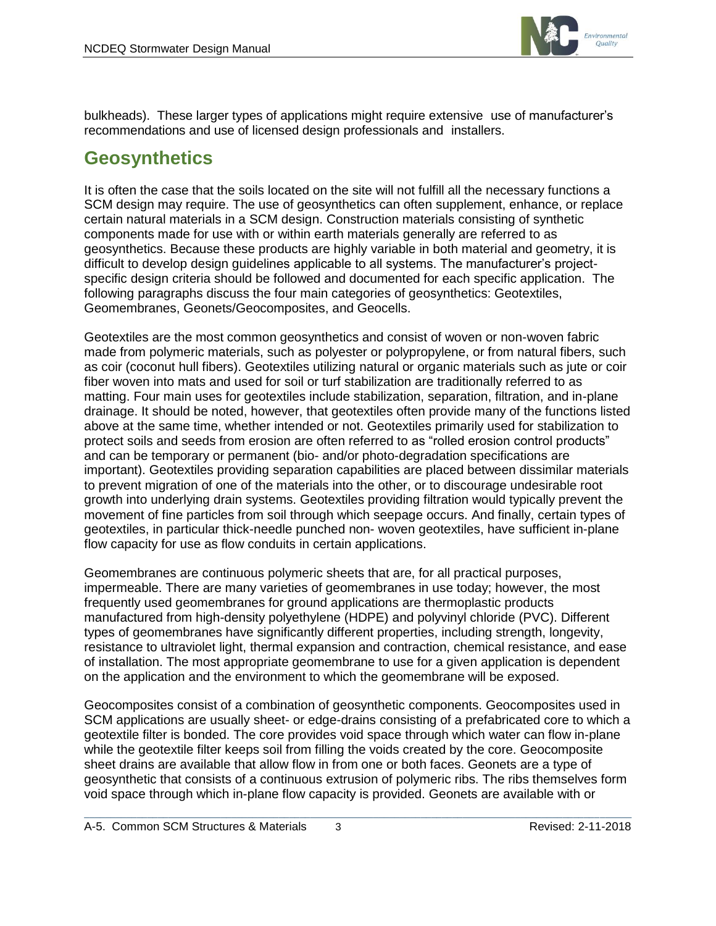

bulkheads). These larger types of applications might require extensive use of manufacturer's recommendations and use of licensed design professionals and installers.

# **Geosynthetics**

It is often the case that the soils located on the site will not fulfill all the necessary functions a SCM design may require. The use of geosynthetics can often supplement, enhance, or replace certain natural materials in a SCM design. Construction materials consisting of synthetic components made for use with or within earth materials generally are referred to as geosynthetics. Because these products are highly variable in both material and geometry, it is difficult to develop design guidelines applicable to all systems. The manufacturer's projectspecific design criteria should be followed and documented for each specific application. The following paragraphs discuss the four main categories of geosynthetics: Geotextiles, Geomembranes, Geonets/Geocomposites, and Geocells.

Geotextiles are the most common geosynthetics and consist of woven or non-woven fabric made from polymeric materials, such as polyester or polypropylene, or from natural fibers, such as coir (coconut hull fibers). Geotextiles utilizing natural or organic materials such as jute or coir fiber woven into mats and used for soil or turf stabilization are traditionally referred to as matting. Four main uses for geotextiles include stabilization, separation, filtration, and in-plane drainage. It should be noted, however, that geotextiles often provide many of the functions listed above at the same time, whether intended or not. Geotextiles primarily used for stabilization to protect soils and seeds from erosion are often referred to as "rolled erosion control products" and can be temporary or permanent (bio- and/or photo-degradation specifications are important). Geotextiles providing separation capabilities are placed between dissimilar materials to prevent migration of one of the materials into the other, or to discourage undesirable root growth into underlying drain systems. Geotextiles providing filtration would typically prevent the movement of fine particles from soil through which seepage occurs. And finally, certain types of geotextiles, in particular thick-needle punched non- woven geotextiles, have sufficient in-plane flow capacity for use as flow conduits in certain applications.

Geomembranes are continuous polymeric sheets that are, for all practical purposes, impermeable. There are many varieties of geomembranes in use today; however, the most frequently used geomembranes for ground applications are thermoplastic products manufactured from high-density polyethylene (HDPE) and polyvinyl chloride (PVC). Different types of geomembranes have significantly different properties, including strength, longevity, resistance to ultraviolet light, thermal expansion and contraction, chemical resistance, and ease of installation. The most appropriate geomembrane to use for a given application is dependent on the application and the environment to which the geomembrane will be exposed.

Geocomposites consist of a combination of geosynthetic components. Geocomposites used in SCM applications are usually sheet- or edge-drains consisting of a prefabricated core to which a geotextile filter is bonded. The core provides void space through which water can flow in-plane while the geotextile filter keeps soil from filling the voids created by the core. Geocomposite sheet drains are available that allow flow in from one or both faces. Geonets are a type of geosynthetic that consists of a continuous extrusion of polymeric ribs. The ribs themselves form void space through which in-plane flow capacity is provided. Geonets are available with or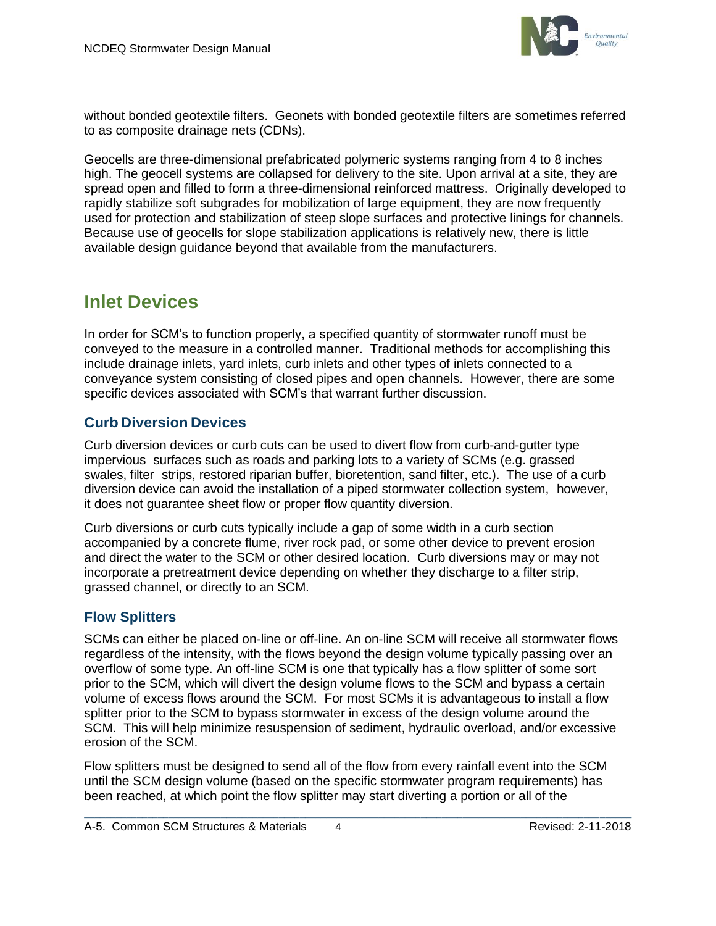

without bonded geotextile filters. Geonets with bonded geotextile filters are sometimes referred to as composite drainage nets (CDNs).

Geocells are three-dimensional prefabricated polymeric systems ranging from 4 to 8 inches high. The geocell systems are collapsed for delivery to the site. Upon arrival at a site, they are spread open and filled to form a three-dimensional reinforced mattress. Originally developed to rapidly stabilize soft subgrades for mobilization of large equipment, they are now frequently used for protection and stabilization of steep slope surfaces and protective linings for channels. Because use of geocells for slope stabilization applications is relatively new, there is little available design guidance beyond that available from the manufacturers.

# **Inlet Devices**

In order for SCM's to function properly, a specified quantity of stormwater runoff must be conveyed to the measure in a controlled manner. Traditional methods for accomplishing this include drainage inlets, yard inlets, curb inlets and other types of inlets connected to a conveyance system consisting of closed pipes and open channels. However, there are some specific devices associated with SCM's that warrant further discussion.

## **Curb Diversion Devices**

Curb diversion devices or curb cuts can be used to divert flow from curb-and-gutter type impervious surfaces such as roads and parking lots to a variety of SCMs (e.g. grassed swales, filter strips, restored riparian buffer, bioretention, sand filter, etc.). The use of a curb diversion device can avoid the installation of a piped stormwater collection system, however, it does not guarantee sheet flow or proper flow quantity diversion.

Curb diversions or curb cuts typically include a gap of some width in a curb section accompanied by a concrete flume, river rock pad, or some other device to prevent erosion and direct the water to the SCM or other desired location. Curb diversions may or may not incorporate a pretreatment device depending on whether they discharge to a filter strip, grassed channel, or directly to an SCM.

## **Flow Splitters**

SCMs can either be placed on-line or off-line. An on-line SCM will receive all stormwater flows regardless of the intensity, with the flows beyond the design volume typically passing over an overflow of some type. An off-line SCM is one that typically has a flow splitter of some sort prior to the SCM, which will divert the design volume flows to the SCM and bypass a certain volume of excess flows around the SCM. For most SCMs it is advantageous to install a flow splitter prior to the SCM to bypass stormwater in excess of the design volume around the SCM. This will help minimize resuspension of sediment, hydraulic overload, and/or excessive erosion of the SCM.

Flow splitters must be designed to send all of the flow from every rainfall event into the SCM until the SCM design volume (based on the specific stormwater program requirements) has been reached, at which point the flow splitter may start diverting a portion or all of the

 $\mathcal{L}_\mathcal{L} = \{ \mathcal{L}_\mathcal{L} = \{ \mathcal{L}_\mathcal{L} = \{ \mathcal{L}_\mathcal{L} = \{ \mathcal{L}_\mathcal{L} = \{ \mathcal{L}_\mathcal{L} = \{ \mathcal{L}_\mathcal{L} = \{ \mathcal{L}_\mathcal{L} = \{ \mathcal{L}_\mathcal{L} = \{ \mathcal{L}_\mathcal{L} = \{ \mathcal{L}_\mathcal{L} = \{ \mathcal{L}_\mathcal{L} = \{ \mathcal{L}_\mathcal{L} = \{ \mathcal{L}_\mathcal{L} = \{ \mathcal{L}_\mathcal{$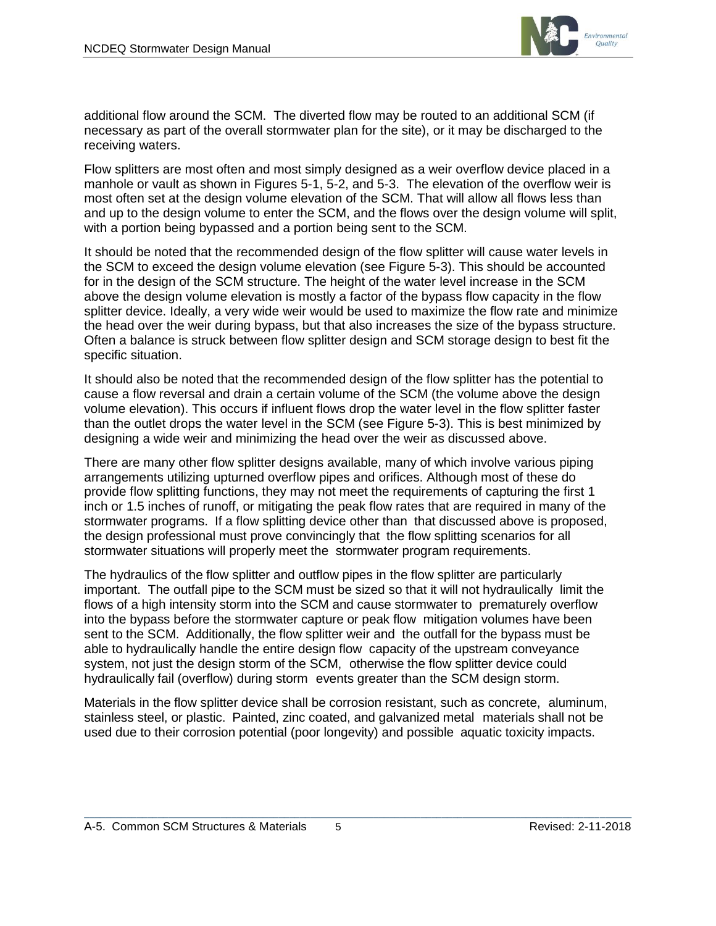

additional flow around the SCM. The diverted flow may be routed to an additional SCM (if necessary as part of the overall stormwater plan for the site), or it may be discharged to the receiving waters.

Flow splitters are most often and most simply designed as a weir overflow device placed in a manhole or vault as shown in Figures 5-1, 5-2, and 5-3. The elevation of the overflow weir is most often set at the design volume elevation of the SCM. That will allow all flows less than and up to the design volume to enter the SCM, and the flows over the design volume will split, with a portion being bypassed and a portion being sent to the SCM.

It should be noted that the recommended design of the flow splitter will cause water levels in the SCM to exceed the design volume elevation (see Figure 5-3). This should be accounted for in the design of the SCM structure. The height of the water level increase in the SCM above the design volume elevation is mostly a factor of the bypass flow capacity in the flow splitter device. Ideally, a very wide weir would be used to maximize the flow rate and minimize the head over the weir during bypass, but that also increases the size of the bypass structure. Often a balance is struck between flow splitter design and SCM storage design to best fit the specific situation.

It should also be noted that the recommended design of the flow splitter has the potential to cause a flow reversal and drain a certain volume of the SCM (the volume above the design volume elevation). This occurs if influent flows drop the water level in the flow splitter faster than the outlet drops the water level in the SCM (see Figure 5-3). This is best minimized by designing a wide weir and minimizing the head over the weir as discussed above.

There are many other flow splitter designs available, many of which involve various piping arrangements utilizing upturned overflow pipes and orifices. Although most of these do provide flow splitting functions, they may not meet the requirements of capturing the first 1 inch or 1.5 inches of runoff, or mitigating the peak flow rates that are required in many of the stormwater programs. If a flow splitting device other than that discussed above is proposed, the design professional must prove convincingly that the flow splitting scenarios for all stormwater situations will properly meet the stormwater program requirements.

The hydraulics of the flow splitter and outflow pipes in the flow splitter are particularly important. The outfall pipe to the SCM must be sized so that it will not hydraulically limit the flows of a high intensity storm into the SCM and cause stormwater to prematurely overflow into the bypass before the stormwater capture or peak flow mitigation volumes have been sent to the SCM. Additionally, the flow splitter weir and the outfall for the bypass must be able to hydraulically handle the entire design flow capacity of the upstream conveyance system, not just the design storm of the SCM, otherwise the flow splitter device could hydraulically fail (overflow) during storm events greater than the SCM design storm.

Materials in the flow splitter device shall be corrosion resistant, such as concrete, aluminum, stainless steel, or plastic. Painted, zinc coated, and galvanized metal materials shall not be used due to their corrosion potential (poor longevity) and possible aquatic toxicity impacts.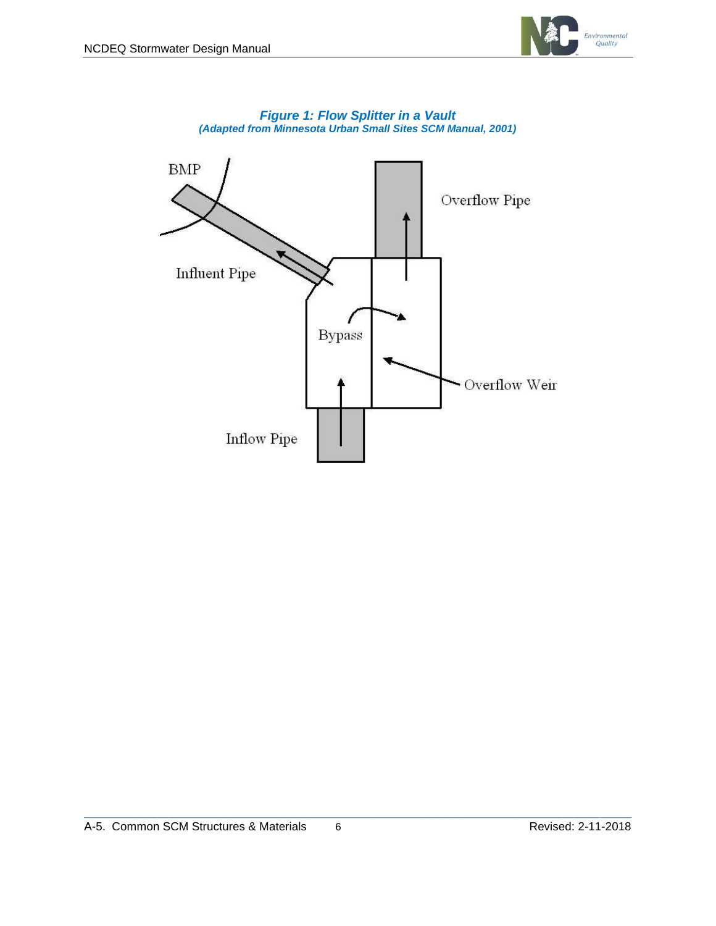



*Figure 1: Flow Splitter in a Vault*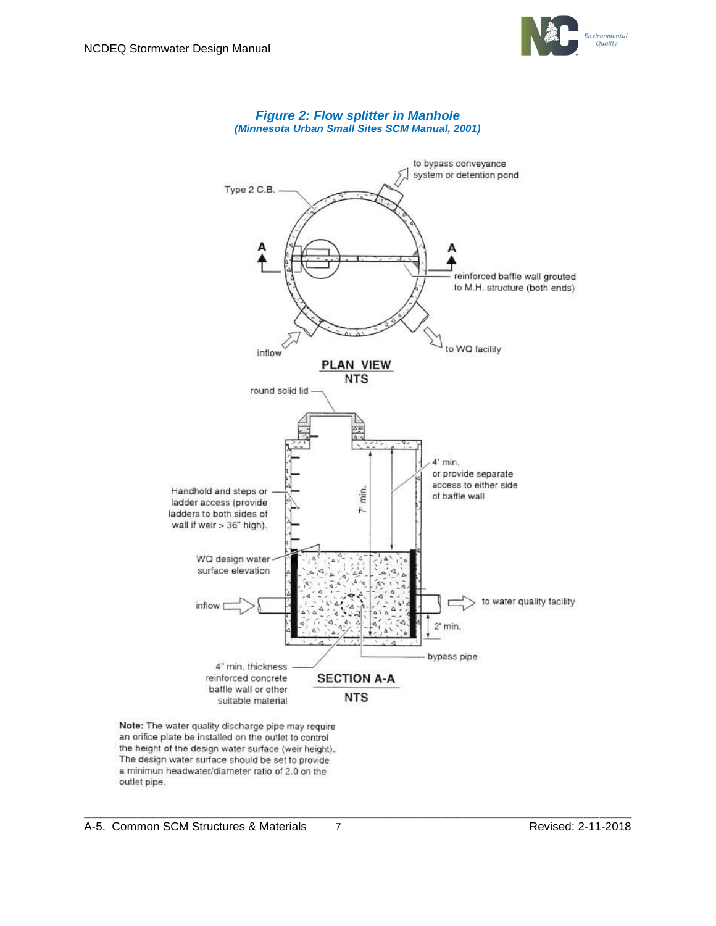



# *Figure 2: Flow splitter in Manhole*

Note: The water quality discharge pipe may require an orifice plate be installed on the outlet to control the height of the design water surface (weir height). The design water surface should be set to provide a minimun headwater/diameter ratio of 2.0 on the outlet pipe.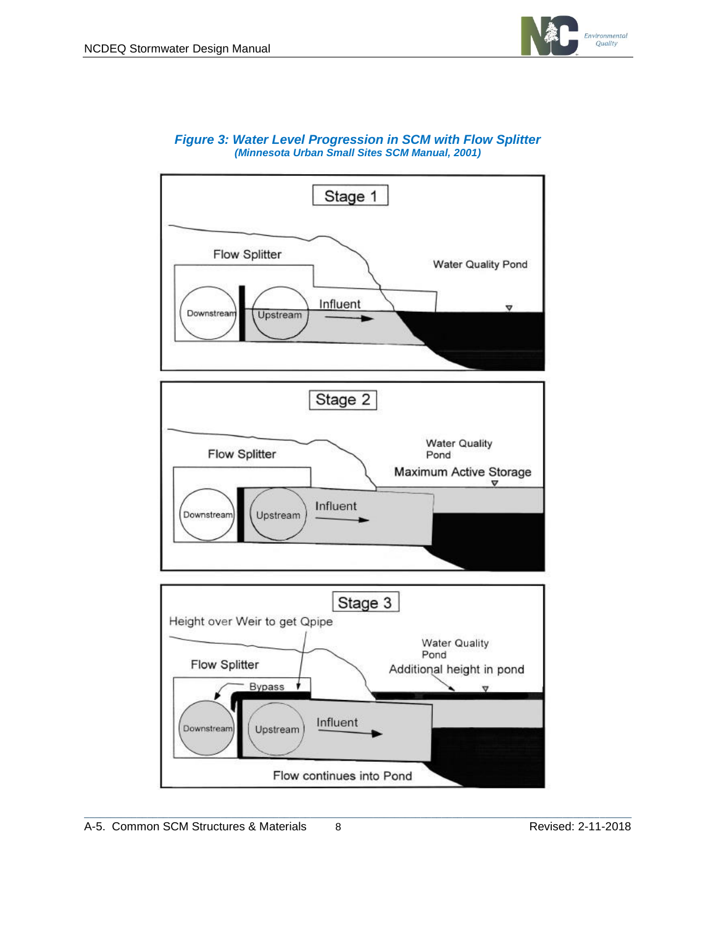



#### *Figure 3: Water Level Progression in SCM with Flow Splitter (Minnesota Urban Small Sites SCM Manual, 2001)*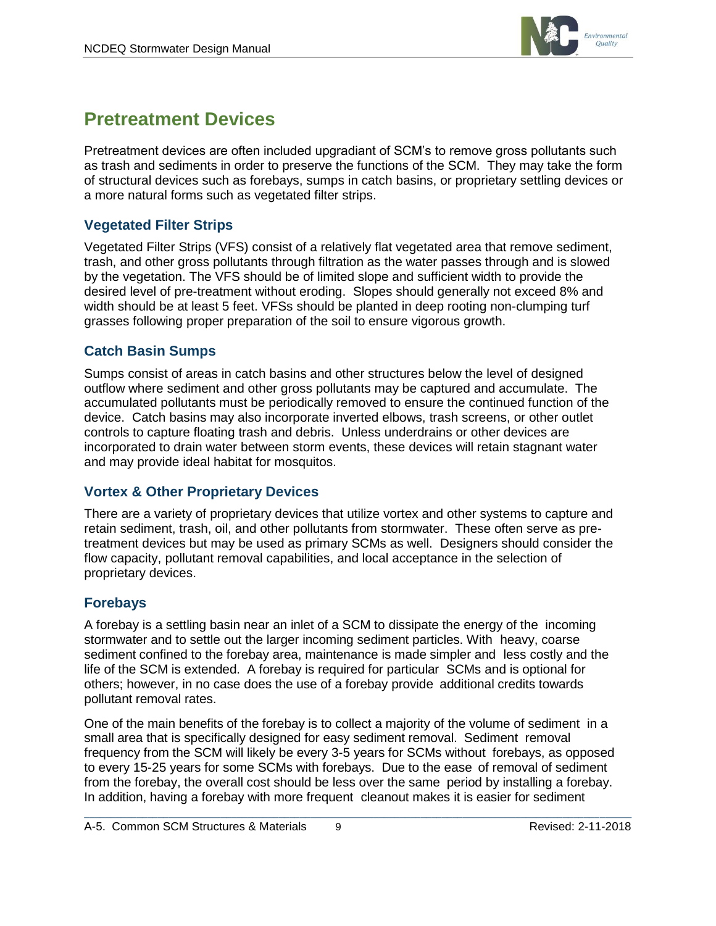

# **Pretreatment Devices**

Pretreatment devices are often included upgradiant of SCM's to remove gross pollutants such as trash and sediments in order to preserve the functions of the SCM. They may take the form of structural devices such as forebays, sumps in catch basins, or proprietary settling devices or a more natural forms such as vegetated filter strips.

## **Vegetated Filter Strips**

Vegetated Filter Strips (VFS) consist of a relatively flat vegetated area that remove sediment, trash, and other gross pollutants through filtration as the water passes through and is slowed by the vegetation. The VFS should be of limited slope and sufficient width to provide the desired level of pre-treatment without eroding. Slopes should generally not exceed 8% and width should be at least 5 feet. VFSs should be planted in deep rooting non-clumping turf grasses following proper preparation of the soil to ensure vigorous growth.

## **Catch Basin Sumps**

Sumps consist of areas in catch basins and other structures below the level of designed outflow where sediment and other gross pollutants may be captured and accumulate. The accumulated pollutants must be periodically removed to ensure the continued function of the device. Catch basins may also incorporate inverted elbows, trash screens, or other outlet controls to capture floating trash and debris. Unless underdrains or other devices are incorporated to drain water between storm events, these devices will retain stagnant water and may provide ideal habitat for mosquitos.

## **Vortex & Other Proprietary Devices**

There are a variety of proprietary devices that utilize vortex and other systems to capture and retain sediment, trash, oil, and other pollutants from stormwater. These often serve as pretreatment devices but may be used as primary SCMs as well. Designers should consider the flow capacity, pollutant removal capabilities, and local acceptance in the selection of proprietary devices.

## **Forebays**

A forebay is a settling basin near an inlet of a SCM to dissipate the energy of the incoming stormwater and to settle out the larger incoming sediment particles. With heavy, coarse sediment confined to the forebay area, maintenance is made simpler and less costly and the life of the SCM is extended. A forebay is required for particular SCMs and is optional for others; however, in no case does the use of a forebay provide additional credits towards pollutant removal rates.

One of the main benefits of the forebay is to collect a majority of the volume of sediment in a small area that is specifically designed for easy sediment removal. Sediment removal frequency from the SCM will likely be every 3-5 years for SCMs without forebays, as opposed to every 15-25 years for some SCMs with forebays. Due to the ease of removal of sediment from the forebay, the overall cost should be less over the same period by installing a forebay. In addition, having a forebay with more frequent cleanout makes it is easier for sediment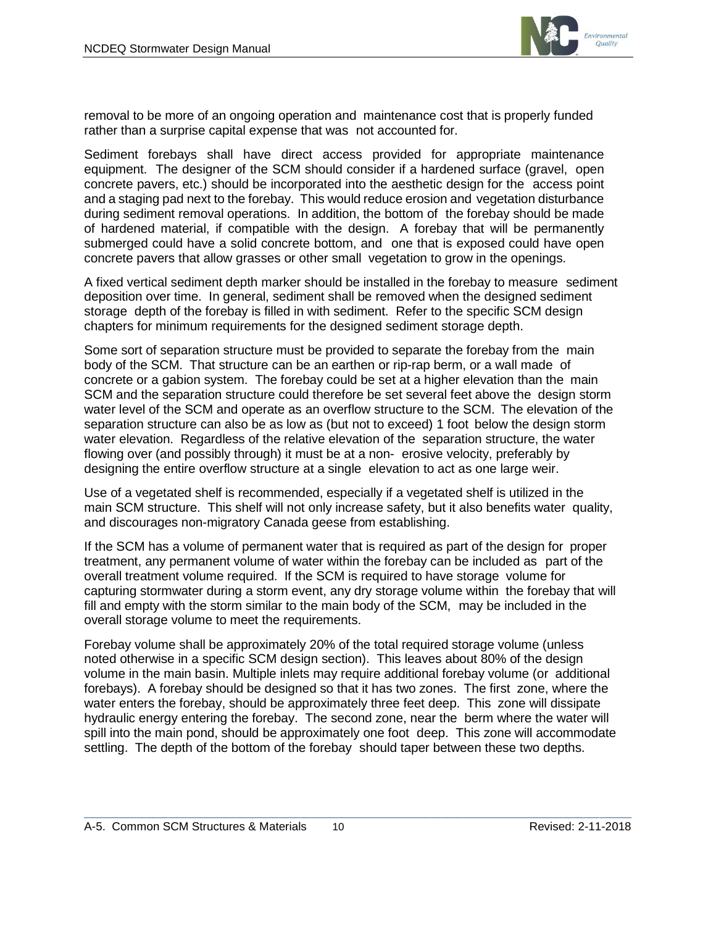

removal to be more of an ongoing operation and maintenance cost that is properly funded rather than a surprise capital expense that was not accounted for.

Sediment forebays shall have direct access provided for appropriate maintenance equipment. The designer of the SCM should consider if a hardened surface (gravel, open concrete pavers, etc.) should be incorporated into the aesthetic design for the access point and a staging pad next to the forebay. This would reduce erosion and vegetation disturbance during sediment removal operations. In addition, the bottom of the forebay should be made of hardened material, if compatible with the design. A forebay that will be permanently submerged could have a solid concrete bottom, and one that is exposed could have open concrete pavers that allow grasses or other small vegetation to grow in the openings.

A fixed vertical sediment depth marker should be installed in the forebay to measure sediment deposition over time. In general, sediment shall be removed when the designed sediment storage depth of the forebay is filled in with sediment. Refer to the specific SCM design chapters for minimum requirements for the designed sediment storage depth.

Some sort of separation structure must be provided to separate the forebay from the main body of the SCM. That structure can be an earthen or rip-rap berm, or a wall made of concrete or a gabion system. The forebay could be set at a higher elevation than the main SCM and the separation structure could therefore be set several feet above the design storm water level of the SCM and operate as an overflow structure to the SCM. The elevation of the separation structure can also be as low as (but not to exceed) 1 foot below the design storm water elevation. Regardless of the relative elevation of the separation structure, the water flowing over (and possibly through) it must be at a non- erosive velocity, preferably by designing the entire overflow structure at a single elevation to act as one large weir.

Use of a vegetated shelf is recommended, especially if a vegetated shelf is utilized in the main SCM structure. This shelf will not only increase safety, but it also benefits water quality, and discourages non-migratory Canada geese from establishing.

If the SCM has a volume of permanent water that is required as part of the design for proper treatment, any permanent volume of water within the forebay can be included as part of the overall treatment volume required. If the SCM is required to have storage volume for capturing stormwater during a storm event, any dry storage volume within the forebay that will fill and empty with the storm similar to the main body of the SCM, may be included in the overall storage volume to meet the requirements.

Forebay volume shall be approximately 20% of the total required storage volume (unless noted otherwise in a specific SCM design section). This leaves about 80% of the design volume in the main basin. Multiple inlets may require additional forebay volume (or additional forebays). A forebay should be designed so that it has two zones. The first zone, where the water enters the forebay, should be approximately three feet deep. This zone will dissipate hydraulic energy entering the forebay. The second zone, near the berm where the water will spill into the main pond, should be approximately one foot deep. This zone will accommodate settling. The depth of the bottom of the forebay should taper between these two depths.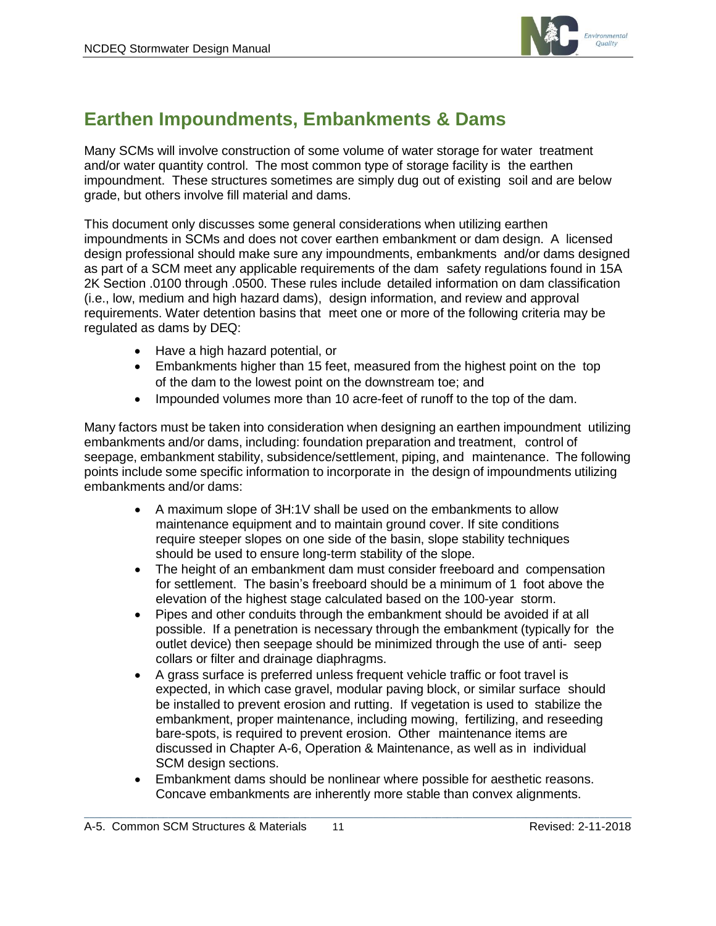

# **Earthen Impoundments, Embankments & Dams**

Many SCMs will involve construction of some volume of water storage for water treatment and/or water quantity control. The most common type of storage facility is the earthen impoundment. These structures sometimes are simply dug out of existing soil and are below grade, but others involve fill material and dams.

This document only discusses some general considerations when utilizing earthen impoundments in SCMs and does not cover earthen embankment or dam design. A licensed design professional should make sure any impoundments, embankments and/or dams designed as part of a SCM meet any applicable requirements of the dam safety regulations found in 15A 2K Section .0100 through .0500. These rules include detailed information on dam classification (i.e., low, medium and high hazard dams), design information, and review and approval requirements. Water detention basins that meet one or more of the following criteria may be regulated as dams by DEQ:

- Have a high hazard potential, or
- Embankments higher than 15 feet, measured from the highest point on the top of the dam to the lowest point on the downstream toe; and
- Impounded volumes more than 10 acre-feet of runoff to the top of the dam.

Many factors must be taken into consideration when designing an earthen impoundment utilizing embankments and/or dams, including: foundation preparation and treatment, control of seepage, embankment stability, subsidence/settlement, piping, and maintenance. The following points include some specific information to incorporate in the design of impoundments utilizing embankments and/or dams:

- A maximum slope of 3H:1V shall be used on the embankments to allow maintenance equipment and to maintain ground cover. If site conditions require steeper slopes on one side of the basin, slope stability techniques should be used to ensure long-term stability of the slope.
- The height of an embankment dam must consider freeboard and compensation for settlement. The basin's freeboard should be a minimum of 1 foot above the elevation of the highest stage calculated based on the 100-year storm.
- Pipes and other conduits through the embankment should be avoided if at all possible. If a penetration is necessary through the embankment (typically for the outlet device) then seepage should be minimized through the use of anti- seep collars or filter and drainage diaphragms.
- A grass surface is preferred unless frequent vehicle traffic or foot travel is expected, in which case gravel, modular paving block, or similar surface should be installed to prevent erosion and rutting. If vegetation is used to stabilize the embankment, proper maintenance, including mowing, fertilizing, and reseeding bare-spots, is required to prevent erosion. Other maintenance items are discussed in Chapter A-6, Operation & Maintenance, as well as in individual SCM design sections.
- Embankment dams should be nonlinear where possible for aesthetic reasons. Concave embankments are inherently more stable than convex alignments.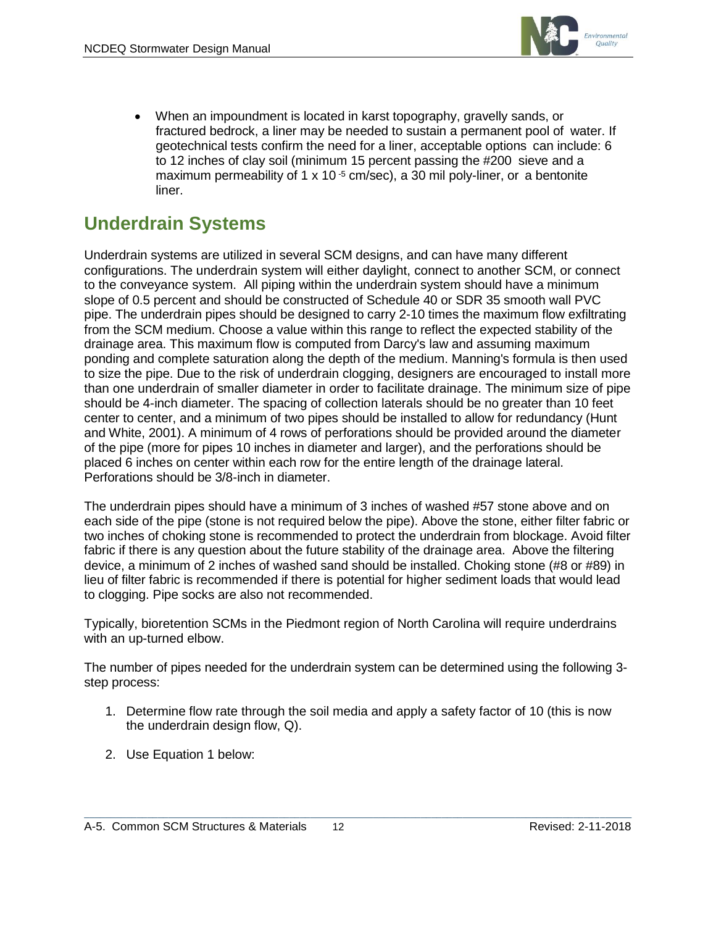

• When an impoundment is located in karst topography, gravelly sands, or fractured bedrock, a liner may be needed to sustain a permanent pool of water. If geotechnical tests confirm the need for a liner, acceptable options can include: 6 to 12 inches of clay soil (minimum 15 percent passing the #200 sieve and a maximum permeability of 1 x 10 $-5$  cm/sec), a 30 mil poly-liner, or a bentonite liner.

# **Underdrain Systems**

Underdrain systems are utilized in several SCM designs, and can have many different configurations. The underdrain system will either daylight, connect to another SCM, or connect to the conveyance system. All piping within the underdrain system should have a minimum slope of 0.5 percent and should be constructed of Schedule 40 or SDR 35 smooth wall PVC pipe. The underdrain pipes should be designed to carry 2-10 times the maximum flow exfiltrating from the SCM medium. Choose a value within this range to reflect the expected stability of the drainage area. This maximum flow is computed from Darcy's law and assuming maximum ponding and complete saturation along the depth of the medium. Manning's formula is then used to size the pipe. Due to the risk of underdrain clogging, designers are encouraged to install more than one underdrain of smaller diameter in order to facilitate drainage. The minimum size of pipe should be 4-inch diameter. The spacing of collection laterals should be no greater than 10 feet center to center, and a minimum of two pipes should be installed to allow for redundancy (Hunt and White, 2001). A minimum of 4 rows of perforations should be provided around the diameter of the pipe (more for pipes 10 inches in diameter and larger), and the perforations should be placed 6 inches on center within each row for the entire length of the drainage lateral. Perforations should be 3/8-inch in diameter.

The underdrain pipes should have a minimum of 3 inches of washed #57 stone above and on each side of the pipe (stone is not required below the pipe). Above the stone, either filter fabric or two inches of choking stone is recommended to protect the underdrain from blockage. Avoid filter fabric if there is any question about the future stability of the drainage area. Above the filtering device, a minimum of 2 inches of washed sand should be installed. Choking stone (#8 or #89) in lieu of filter fabric is recommended if there is potential for higher sediment loads that would lead to clogging. Pipe socks are also not recommended.

Typically, bioretention SCMs in the Piedmont region of North Carolina will require underdrains with an up-turned elbow.

The number of pipes needed for the underdrain system can be determined using the following 3 step process:

- 1. Determine flow rate through the soil media and apply a safety factor of 10 (this is now the underdrain design flow, Q).
- 2. Use Equation 1 below: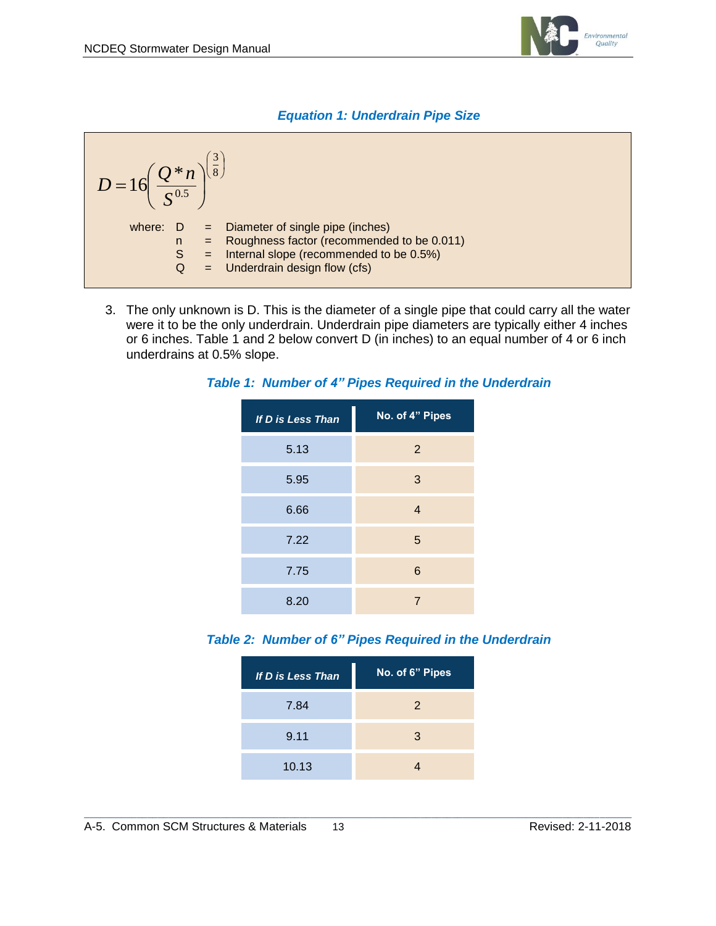

## *Equation 1: Underdrain Pipe Size*



3. The only unknown is D. This is the diameter of a single pipe that could carry all the water were it to be the only underdrain. Underdrain pipe diameters are typically either 4 inches or 6 inches. Table 1 and 2 below convert D (in inches) to an equal number of 4 or 6 inch underdrains at 0.5% slope.

| If D is Less Than | No. of 4" Pipes |
|-------------------|-----------------|
| 5.13              | 2               |
| 5.95              | 3               |
| 6.66              | 4               |
| 7.22              | 5               |
| 7.75              | 6               |
| 8.20              | 7               |

*Table 1: Number of 4" Pipes Required in the Underdrain*

*Table 2: Number of 6" Pipes Required in the Underdrain*

| If D is Less Than | No. of 6" Pipes |
|-------------------|-----------------|
| 7.84              | 2               |
| 9.11              | 3               |
| 10.13             | 4               |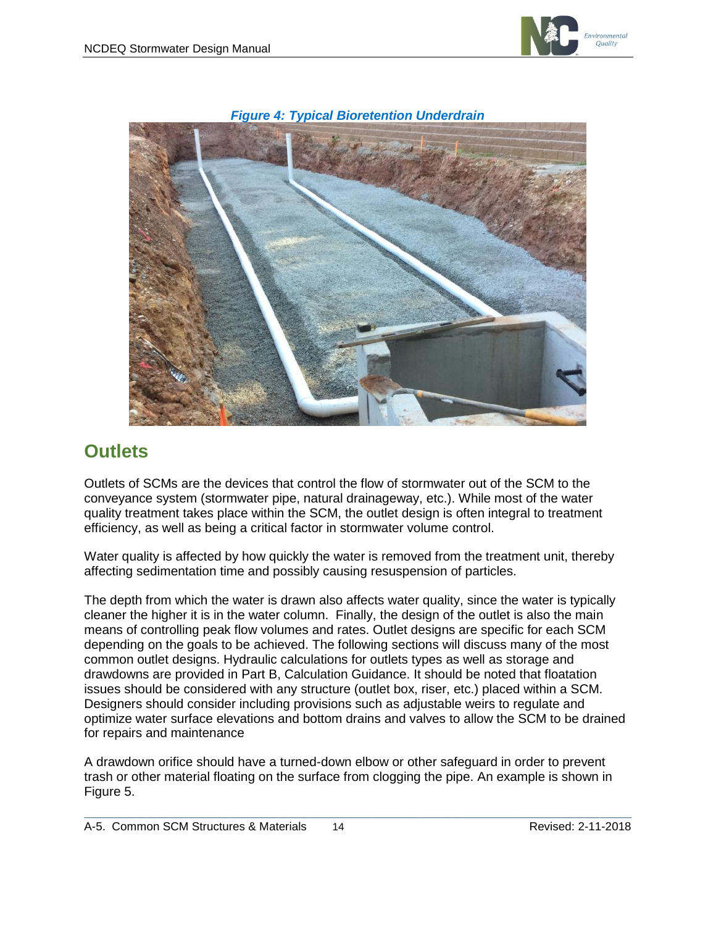



*Figure 4: Typical Bioretention Underdrain* 

## **Outlets**

Outlets of SCMs are the devices that control the flow of stormwater out of the SCM to the conveyance system (stormwater pipe, natural drainageway, etc.). While most of the water quality treatment takes place within the SCM, the outlet design is often integral to treatment efficiency, as well as being a critical factor in stormwater volume control.

Water quality is affected by how quickly the water is removed from the treatment unit, thereby affecting sedimentation time and possibly causing resuspension of particles.

The depth from which the water is drawn also affects water quality, since the water is typically cleaner the higher it is in the water column. Finally, the design of the outlet is also the main means of controlling peak flow volumes and rates. Outlet designs are specific for each SCM depending on the goals to be achieved. The following sections will discuss many of the most common outlet designs. Hydraulic calculations for outlets types as well as storage and drawdowns are provided in Part B, Calculation Guidance. It should be noted that floatation issues should be considered with any structure (outlet box, riser, etc.) placed within a SCM. Designers should consider including provisions such as adjustable weirs to regulate and optimize water surface elevations and bottom drains and valves to allow the SCM to be drained for repairs and maintenance

A drawdown orifice should have a turned-down elbow or other safeguard in order to prevent trash or other material floating on the surface from clogging the pipe. An example is shown in Figure 5.

 $\mathcal{L}_\mathcal{L} = \{ \mathcal{L}_\mathcal{L} = \{ \mathcal{L}_\mathcal{L} = \{ \mathcal{L}_\mathcal{L} = \{ \mathcal{L}_\mathcal{L} = \{ \mathcal{L}_\mathcal{L} = \{ \mathcal{L}_\mathcal{L} = \{ \mathcal{L}_\mathcal{L} = \{ \mathcal{L}_\mathcal{L} = \{ \mathcal{L}_\mathcal{L} = \{ \mathcal{L}_\mathcal{L} = \{ \mathcal{L}_\mathcal{L} = \{ \mathcal{L}_\mathcal{L} = \{ \mathcal{L}_\mathcal{L} = \{ \mathcal{L}_\mathcal{$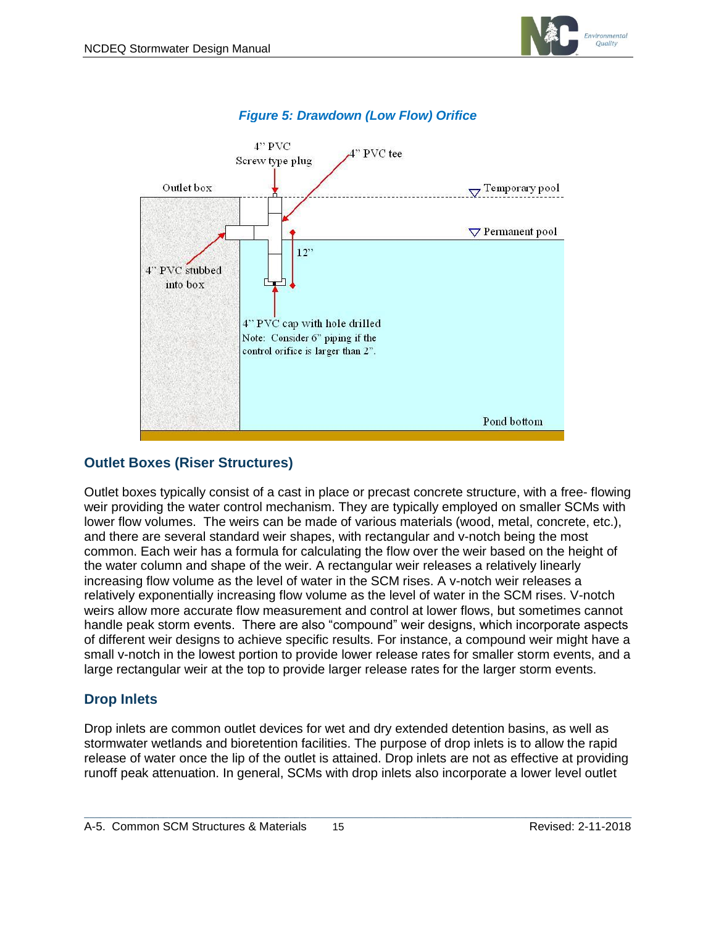



#### *Figure 5: Drawdown (Low Flow) Orifice*

#### **Outlet Boxes (Riser Structures)**

Outlet boxes typically consist of a cast in place or precast concrete structure, with a free- flowing weir providing the water control mechanism. They are typically employed on smaller SCMs with lower flow volumes. The weirs can be made of various materials (wood, metal, concrete, etc.), and there are several standard weir shapes, with rectangular and v-notch being the most common. Each weir has a formula for calculating the flow over the weir based on the height of the water column and shape of the weir. A rectangular weir releases a relatively linearly increasing flow volume as the level of water in the SCM rises. A v-notch weir releases a relatively exponentially increasing flow volume as the level of water in the SCM rises. V-notch weirs allow more accurate flow measurement and control at lower flows, but sometimes cannot handle peak storm events. There are also "compound" weir designs, which incorporate aspects of different weir designs to achieve specific results. For instance, a compound weir might have a small v-notch in the lowest portion to provide lower release rates for smaller storm events, and a large rectangular weir at the top to provide larger release rates for the larger storm events.

## **Drop Inlets**

Drop inlets are common outlet devices for wet and dry extended detention basins, as well as stormwater wetlands and bioretention facilities. The purpose of drop inlets is to allow the rapid release of water once the lip of the outlet is attained. Drop inlets are not as effective at providing runoff peak attenuation. In general, SCMs with drop inlets also incorporate a lower level outlet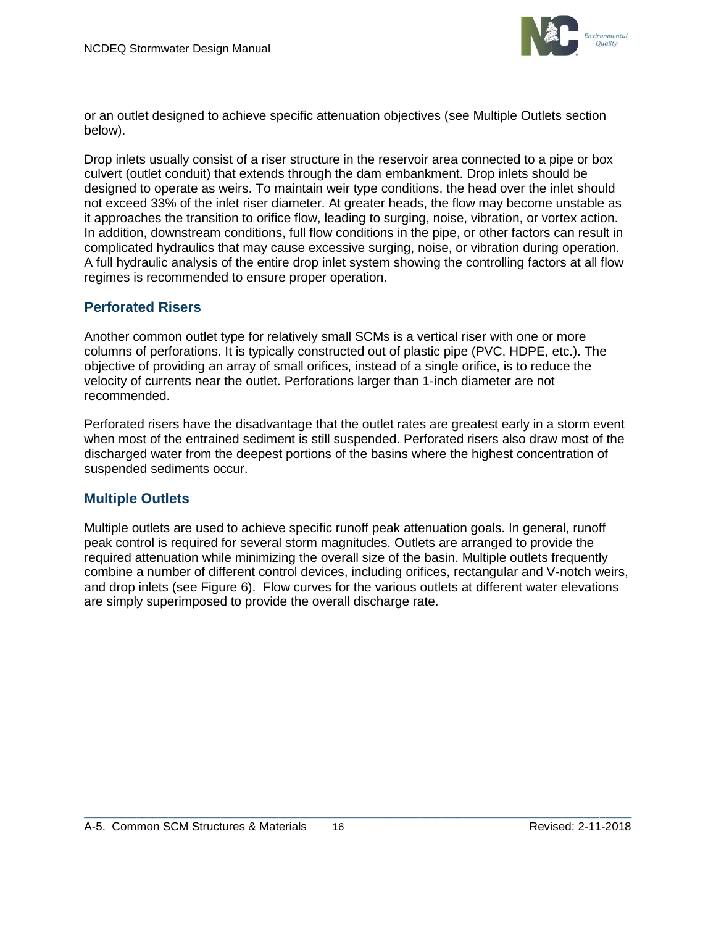

or an outlet designed to achieve specific attenuation objectives (see Multiple Outlets section below).

Drop inlets usually consist of a riser structure in the reservoir area connected to a pipe or box culvert (outlet conduit) that extends through the dam embankment. Drop inlets should be designed to operate as weirs. To maintain weir type conditions, the head over the inlet should not exceed 33% of the inlet riser diameter. At greater heads, the flow may become unstable as it approaches the transition to orifice flow, leading to surging, noise, vibration, or vortex action. In addition, downstream conditions, full flow conditions in the pipe, or other factors can result in complicated hydraulics that may cause excessive surging, noise, or vibration during operation. A full hydraulic analysis of the entire drop inlet system showing the controlling factors at all flow regimes is recommended to ensure proper operation.

## **Perforated Risers**

Another common outlet type for relatively small SCMs is a vertical riser with one or more columns of perforations. It is typically constructed out of plastic pipe (PVC, HDPE, etc.). The objective of providing an array of small orifices, instead of a single orifice, is to reduce the velocity of currents near the outlet. Perforations larger than 1-inch diameter are not recommended.

Perforated risers have the disadvantage that the outlet rates are greatest early in a storm event when most of the entrained sediment is still suspended. Perforated risers also draw most of the discharged water from the deepest portions of the basins where the highest concentration of suspended sediments occur.

#### **Multiple Outlets**

Multiple outlets are used to achieve specific runoff peak attenuation goals. In general, runoff peak control is required for several storm magnitudes. Outlets are arranged to provide the required attenuation while minimizing the overall size of the basin. Multiple outlets frequently combine a number of different control devices, including orifices, rectangular and V-notch weirs, and drop inlets (see Figure 6). Flow curves for the various outlets at different water elevations are simply superimposed to provide the overall discharge rate.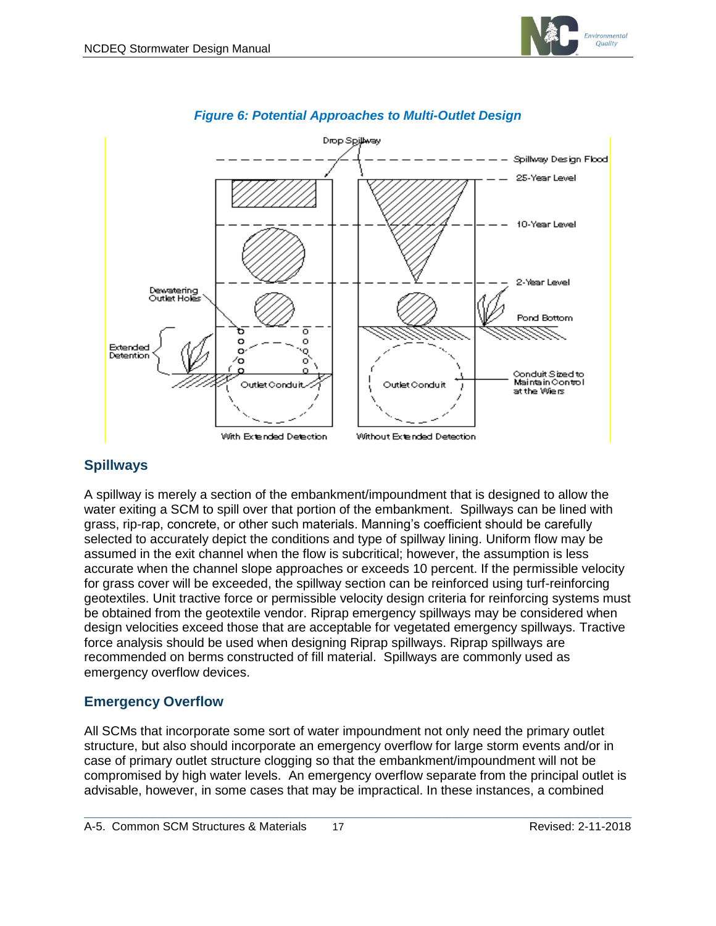



#### *Figure 6: Potential Approaches to Multi-Outlet Design*

#### **Spillways**

A spillway is merely a section of the embankment/impoundment that is designed to allow the water exiting a SCM to spill over that portion of the embankment. Spillways can be lined with grass, rip-rap, concrete, or other such materials. Manning's coefficient should be carefully selected to accurately depict the conditions and type of spillway lining. Uniform flow may be assumed in the exit channel when the flow is subcritical; however, the assumption is less accurate when the channel slope approaches or exceeds 10 percent. If the permissible velocity for grass cover will be exceeded, the spillway section can be reinforced using turf-reinforcing geotextiles. Unit tractive force or permissible velocity design criteria for reinforcing systems must be obtained from the geotextile vendor. Riprap emergency spillways may be considered when design velocities exceed those that are acceptable for vegetated emergency spillways. Tractive force analysis should be used when designing Riprap spillways. Riprap spillways are recommended on berms constructed of fill material. Spillways are commonly used as emergency overflow devices.

#### **Emergency Overflow**

All SCMs that incorporate some sort of water impoundment not only need the primary outlet structure, but also should incorporate an emergency overflow for large storm events and/or in case of primary outlet structure clogging so that the embankment/impoundment will not be compromised by high water levels. An emergency overflow separate from the principal outlet is advisable, however, in some cases that may be impractical. In these instances, a combined

 $\mathcal{L}_\mathcal{L} = \{ \mathcal{L}_\mathcal{L} = \{ \mathcal{L}_\mathcal{L} = \{ \mathcal{L}_\mathcal{L} = \{ \mathcal{L}_\mathcal{L} = \{ \mathcal{L}_\mathcal{L} = \{ \mathcal{L}_\mathcal{L} = \{ \mathcal{L}_\mathcal{L} = \{ \mathcal{L}_\mathcal{L} = \{ \mathcal{L}_\mathcal{L} = \{ \mathcal{L}_\mathcal{L} = \{ \mathcal{L}_\mathcal{L} = \{ \mathcal{L}_\mathcal{L} = \{ \mathcal{L}_\mathcal{L} = \{ \mathcal{L}_\mathcal{$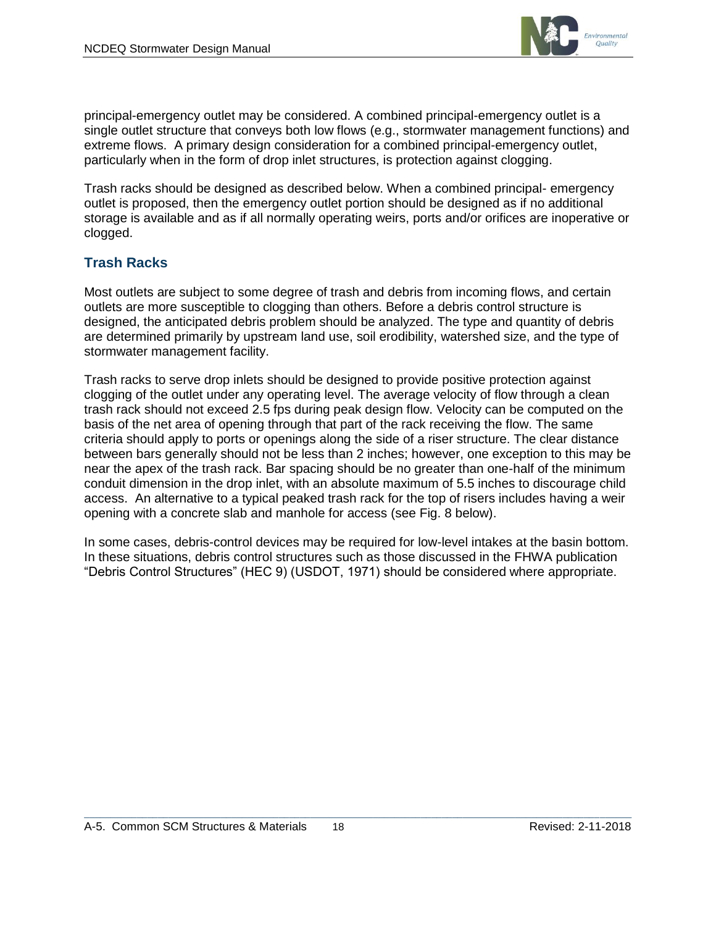

principal-emergency outlet may be considered. A combined principal-emergency outlet is a single outlet structure that conveys both low flows (e.g., stormwater management functions) and extreme flows. A primary design consideration for a combined principal-emergency outlet, particularly when in the form of drop inlet structures, is protection against clogging.

Trash racks should be designed as described below. When a combined principal- emergency outlet is proposed, then the emergency outlet portion should be designed as if no additional storage is available and as if all normally operating weirs, ports and/or orifices are inoperative or clogged.

## **Trash Racks**

Most outlets are subject to some degree of trash and debris from incoming flows, and certain outlets are more susceptible to clogging than others. Before a debris control structure is designed, the anticipated debris problem should be analyzed. The type and quantity of debris are determined primarily by upstream land use, soil erodibility, watershed size, and the type of stormwater management facility.

Trash racks to serve drop inlets should be designed to provide positive protection against clogging of the outlet under any operating level. The average velocity of flow through a clean trash rack should not exceed 2.5 fps during peak design flow. Velocity can be computed on the basis of the net area of opening through that part of the rack receiving the flow. The same criteria should apply to ports or openings along the side of a riser structure. The clear distance between bars generally should not be less than 2 inches; however, one exception to this may be near the apex of the trash rack. Bar spacing should be no greater than one-half of the minimum conduit dimension in the drop inlet, with an absolute maximum of 5.5 inches to discourage child access. An alternative to a typical peaked trash rack for the top of risers includes having a weir opening with a concrete slab and manhole for access (see Fig. 8 below).

In some cases, debris-control devices may be required for low-level intakes at the basin bottom. In these situations, debris control structures such as those discussed in the FHWA publication "Debris Control Structures" (HEC 9) (USDOT, 1971) should be considered where appropriate.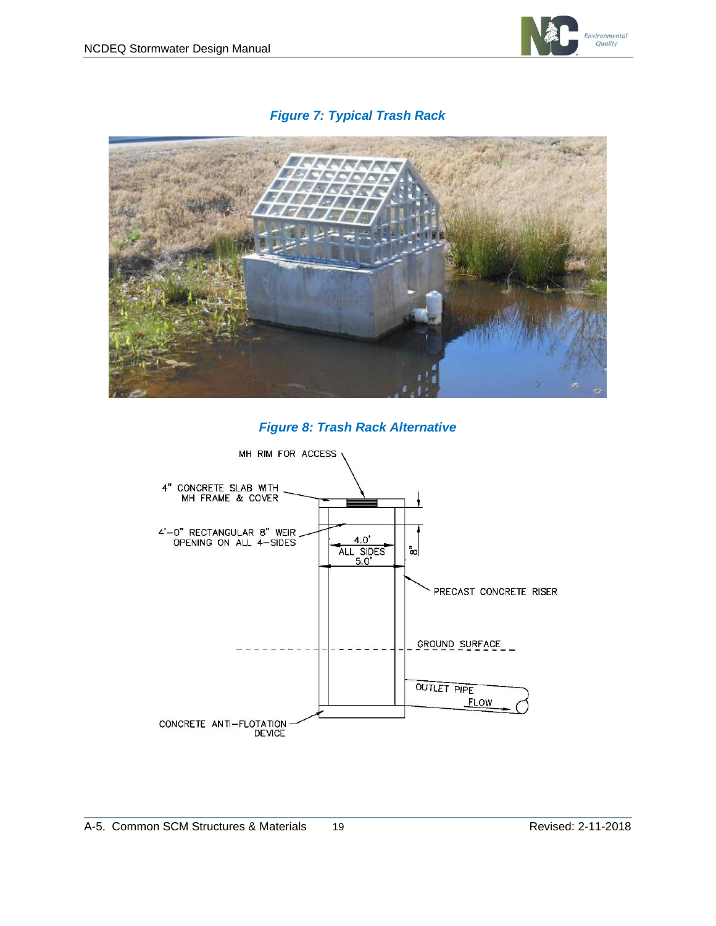

### *Figure 7: Typical Trash Rack*



*Figure 8: Trash Rack Alternative*